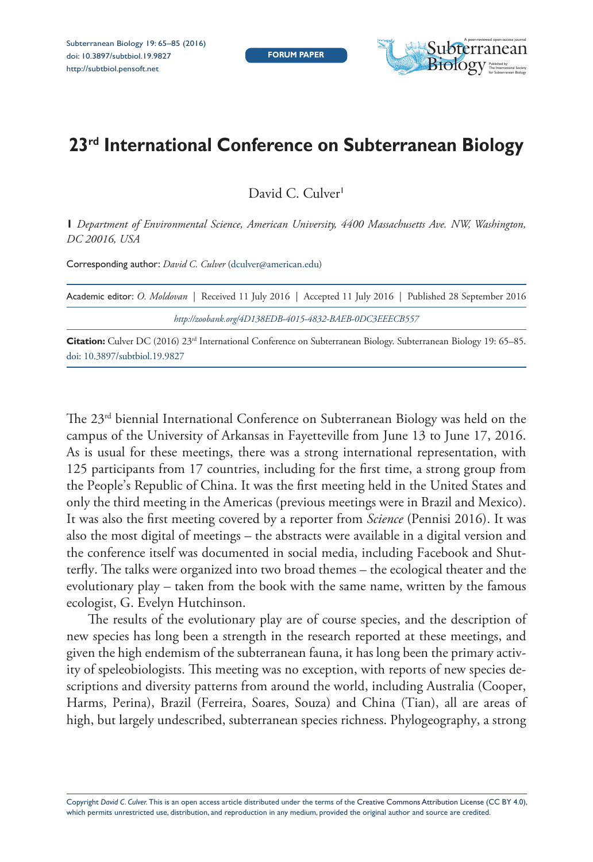

# **23rd International Conference on Subterranean Biology**

David C. Culver<sup>1</sup>

**1** *Department of Environmental Science, American University, 4400 Massachusetts Ave. NW, Washington, DC 20016, USA*

Corresponding author: *David C. Culver* [\(dculver@american.edu\)](mailto:dculver@american.edu)

| Academic editor: O. Moldovan   Received 11 July 2016   Accepted 11 July 2016   Published 28 September 2016 |
|------------------------------------------------------------------------------------------------------------|
| http://zoobank.org/4D138EDB-4015-4832-BAEB-0DC3EEECB557                                                    |

**Citation:** Culver DC (2016) 23rd International Conference on Subterranean Biology. Subterranean Biology 19: 65–85. [doi: 10.3897/subtbiol.19.9827](http://dx.doi.org/10.3897/subtbiol.19.9827)

The 23rd biennial International Conference on Subterranean Biology was held on the campus of the University of Arkansas in Fayetteville from June 13 to June 17, 2016. As is usual for these meetings, there was a strong international representation, with 125 participants from 17 countries, including for the first time, a strong group from the People's Republic of China. It was the first meeting held in the United States and only the third meeting in the Americas (previous meetings were in Brazil and Mexico). It was also the first meeting covered by a reporter from *Science* (Pennisi 2016). It was also the most digital of meetings – the abstracts were available in a digital version and the conference itself was documented in social media, including Facebook and Shutterfly. The talks were organized into two broad themes – the ecological theater and the evolutionary play – taken from the book with the same name, written by the famous ecologist, G. Evelyn Hutchinson.

The results of the evolutionary play are of course species, and the description of new species has long been a strength in the research reported at these meetings, and given the high endemism of the subterranean fauna, it has long been the primary activity of speleobiologists. This meeting was no exception, with reports of new species descriptions and diversity patterns from around the world, including Australia (Cooper, Harms, Perina), Brazil (Ferreira, Soares, Souza) and China (Tian), all are areas of high, but largely undescribed, subterranean species richness. Phylogeography, a strong

Copyright *David C. Culver.* This is an open access article distributed under the terms of the [Creative Commons Attribution License \(CC BY 4.0\),](http://creativecommons.org/licenses/by/4.0/) which permits unrestricted use, distribution, and reproduction in any medium, provided the original author and source are credited.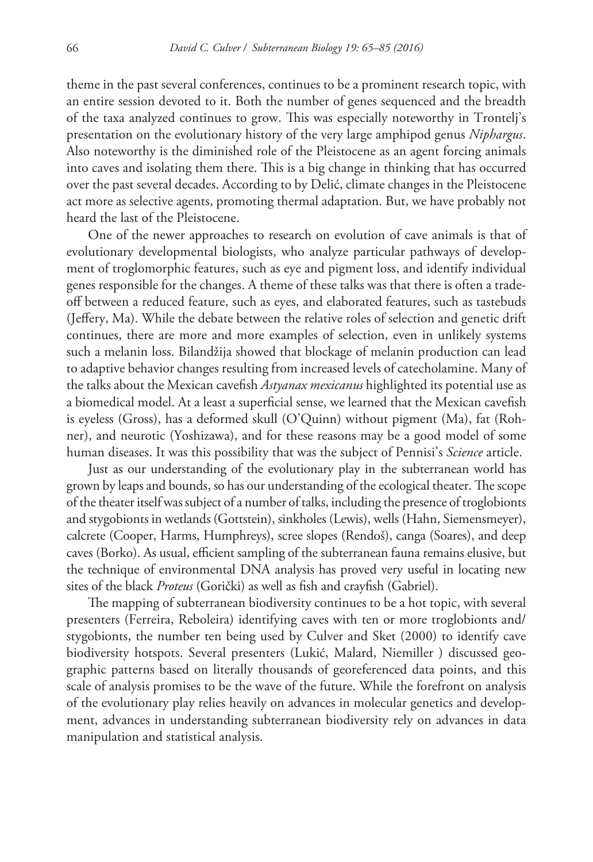theme in the past several conferences, continues to be a prominent research topic, with an entire session devoted to it. Both the number of genes sequenced and the breadth of the taxa analyzed continues to grow. This was especially noteworthy in Trontelj's presentation on the evolutionary history of the very large amphipod genus *Niphargus*. Also noteworthy is the diminished role of the Pleistocene as an agent forcing animals into caves and isolating them there. This is a big change in thinking that has occurred over the past several decades. According to by Delić, climate changes in the Pleistocene act more as selective agents, promoting thermal adaptation. But, we have probably not heard the last of the Pleistocene.

One of the newer approaches to research on evolution of cave animals is that of evolutionary developmental biologists, who analyze particular pathways of development of troglomorphic features, such as eye and pigment loss, and identify individual genes responsible for the changes. A theme of these talks was that there is often a tradeoff between a reduced feature, such as eyes, and elaborated features, such as tastebuds (Jeffery, Ma). While the debate between the relative roles of selection and genetic drift continues, there are more and more examples of selection, even in unlikely systems such a melanin loss. Bilandžija showed that blockage of melanin production can lead to adaptive behavior changes resulting from increased levels of catecholamine. Many of the talks about the Mexican cavefish *Astyanax mexicanus* highlighted its potential use as a biomedical model. At a least a superficial sense, we learned that the Mexican cavefish is eyeless (Gross), has a deformed skull (O'Quinn) without pigment (Ma), fat (Rohner), and neurotic (Yoshizawa), and for these reasons may be a good model of some human diseases. It was this possibility that was the subject of Pennisi's *Science* article.

Just as our understanding of the evolutionary play in the subterranean world has grown by leaps and bounds, so has our understanding of the ecological theater. The scope of the theater itself was subject of a number of talks, including the presence of troglobionts and stygobionts in wetlands (Gottstein), sinkholes (Lewis), wells (Hahn, Siemensmeyer), calcrete (Cooper, Harms, Humphreys), scree slopes (Rendoš), canga (Soares), and deep caves (Borko). As usual, efficient sampling of the subterranean fauna remains elusive, but the technique of environmental DNA analysis has proved very useful in locating new sites of the black *Proteus* (Gorički) as well as fish and crayfish (Gabriel).

The mapping of subterranean biodiversity continues to be a hot topic, with several presenters (Ferreira, Reboleira) identifying caves with ten or more troglobionts and/ stygobionts, the number ten being used by Culver and Sket (2000) to identify cave biodiversity hotspots. Several presenters (Lukić, Malard, Niemiller ) discussed geographic patterns based on literally thousands of georeferenced data points, and this scale of analysis promises to be the wave of the future. While the forefront on analysis of the evolutionary play relies heavily on advances in molecular genetics and development, advances in understanding subterranean biodiversity rely on advances in data manipulation and statistical analysis.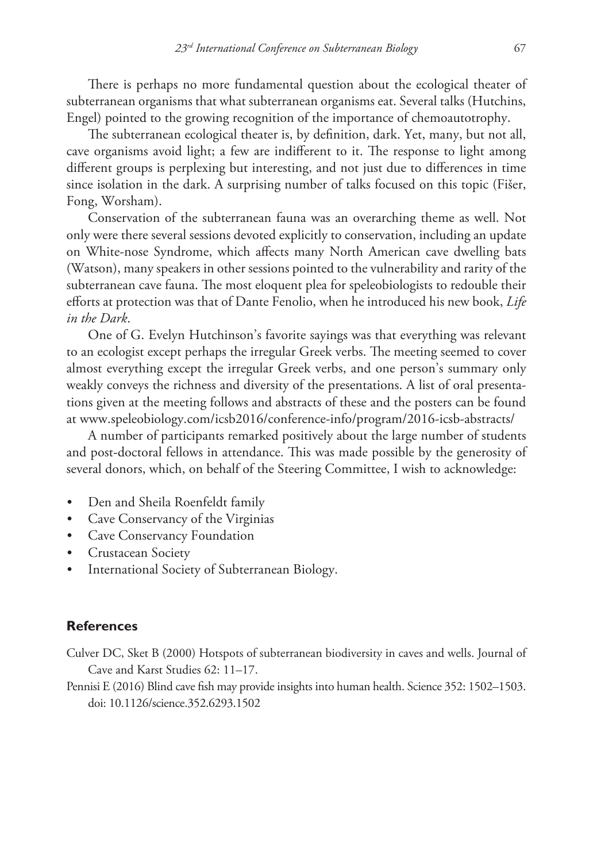There is perhaps no more fundamental question about the ecological theater of subterranean organisms that what subterranean organisms eat. Several talks (Hutchins, Engel) pointed to the growing recognition of the importance of chemoautotrophy.

The subterranean ecological theater is, by definition, dark. Yet, many, but not all, cave organisms avoid light; a few are indifferent to it. The response to light among different groups is perplexing but interesting, and not just due to differences in time since isolation in the dark. A surprising number of talks focused on this topic (Fišer, Fong, Worsham).

Conservation of the subterranean fauna was an overarching theme as well. Not only were there several sessions devoted explicitly to conservation, including an update on White-nose Syndrome, which affects many North American cave dwelling bats (Watson), many speakers in other sessions pointed to the vulnerability and rarity of the subterranean cave fauna. The most eloquent plea for speleobiologists to redouble their efforts at protection was that of Dante Fenolio, when he introduced his new book, *Life in the Dark*.

One of G. Evelyn Hutchinson's favorite sayings was that everything was relevant to an ecologist except perhaps the irregular Greek verbs. The meeting seemed to cover almost everything except the irregular Greek verbs, and one person's summary only weakly conveys the richness and diversity of the presentations. A list of oral presentations given at the meeting follows and abstracts of these and the posters can be found at [www.speleobiology.com/icsb2016/conference-info/program/2016-icsb-abstracts/](http://www.speleobiology.com/icsb2016/conference-info/program/2016-icsb-abstracts/)

A number of participants remarked positively about the large number of students and post-doctoral fellows in attendance. This was made possible by the generosity of several donors, which, on behalf of the Steering Committee, I wish to acknowledge:

- Den and Sheila Roenfeldt family
- Cave Conservancy of the Virginias
- Cave Conservancy Foundation
- Crustacean Society
- International Society of Subterranean Biology.

#### **References**

- Culver DC, Sket B (2000) Hotspots of subterranean biodiversity in caves and wells. Journal of Cave and Karst Studies 62: 11–17.
- Pennisi E (2016) Blind cave fish may provide insights into human health. Science 352: 1502–1503. [doi: 10.1126/science.352.6293.1502](http://dx.doi.org/10.1126/science.352.6293.1502)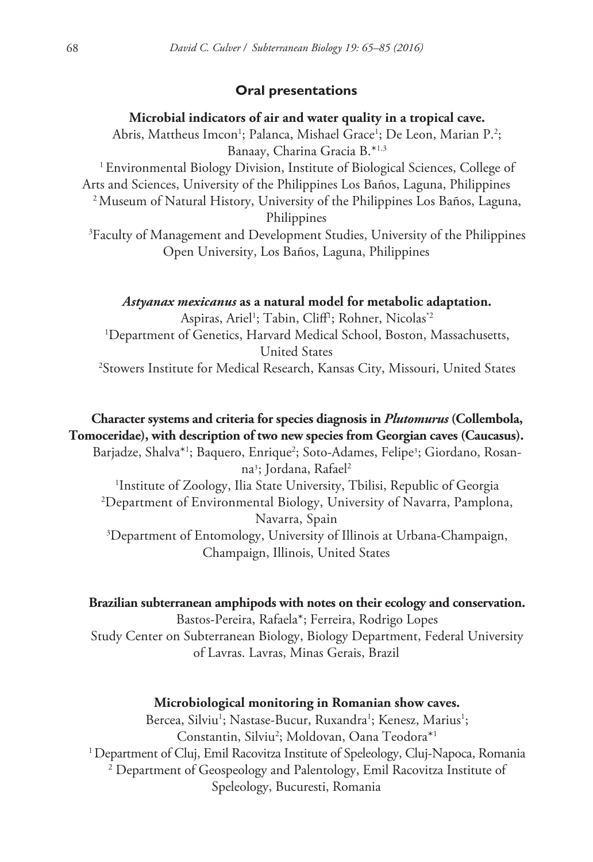### **Oral presentations**

#### **Microbial indicators of air and water quality in a tropical cave.**

Abris, Mattheus Imcon<sup>1</sup>; Palanca, Mishael Grace<sup>1</sup>; De Leon, Marian P.<sup>2</sup>; Banaay, Charina Gracia B.\*1.3

1 Environmental Biology Division, Institute of Biological Sciences, College of Arts and Sciences, University of the Philippines Los Baños, Laguna, Philippines 2 Museum of Natural History, University of the Philippines Los Baños, Laguna, Philippines

3 Faculty of Management and Development Studies, University of the Philippines Open University, Los Baños, Laguna, Philippines

#### *Astyanax mexicanus* **as a natural model for metabolic adaptation.**

Aspiras, Ariel<sup>1</sup>; Tabin, Cliff<sup>1</sup>; Rohner, Nicolas\*<sup>2</sup> 1 Department of Genetics, Harvard Medical School, Boston, Massachusetts, United States 2 Stowers Institute for Medical Research, Kansas City, Missouri, United States

# **Character systems and criteria for species diagnosis in** *Plutomurus* **(Collembola, Tomoceridae), with description of two new species from Georgian caves (Caucasus).**

Barjadze, Shalva\*<sup>1</sup>; Baquero, Enrique<sup>2</sup>; Soto-Adames, Felipe<sup>3</sup>; Giordano, Rosanna<sup>3</sup>; Jordana, Rafael<sup>2</sup>

 Institute of Zoology, Ilia State University, Tbilisi, Republic of Georgia Department of Environmental Biology, University of Navarra, Pamplona, Navarra, Spain Department of Entomology, University of Illinois at Urbana-Champaign,

Champaign, Illinois, United States

#### **Brazilian subterranean amphipods with notes on their ecology and conservation.**

Bastos-Pereira, Rafaela\*; Ferreira, Rodrigo Lopes Study Center on Subterranean Biology, Biology Department, Federal University of Lavras. Lavras, Minas Gerais, Brazil

#### **Microbiological monitoring in Romanian show caves.**

Bercea, Silviu<sup>1</sup>; Nastase-Bucur, Ruxandra<sup>1</sup>; Kenesz, Marius<sup>1</sup>; Constantin, Silviu2 ; Moldovan, Oana Teodora\*1 1 Department of Cluj, Emil Racovitza Institute of Speleology, Cluj-Napoca, Romania 2 Department of Geospeology and Palentology, Emil Racovitza Institute of Speleology, Bucuresti, Romania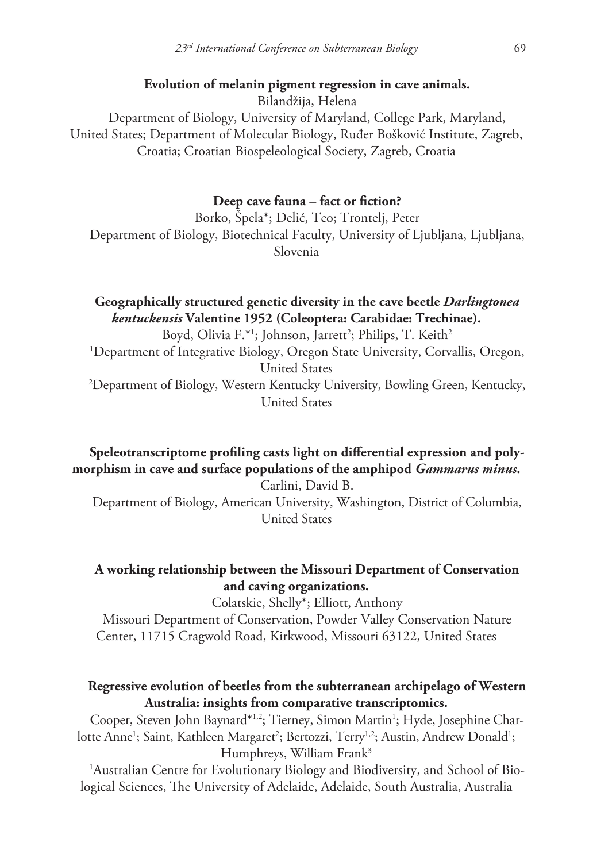### **Evolution of melanin pigment regression in cave animals.**

Bilandžija, Helena Department of Biology, University of Maryland, College Park, Maryland, United States; Department of Molecular Biology, Ruđer Bošković Institute, Zagreb, Croatia; Croatian Biospeleological Society, Zagreb, Croatia

#### **Deep cave fauna – fact or fiction?**

Borko, Špela\*; Delić, Teo; Trontelj, Peter Department of Biology, Biotechnical Faculty, University of Ljubljana, Ljubljana, Slovenia

# **Geographically structured genetic diversity in the cave beetle** *Darlingtonea kentuckensis* **Valentine 1952 (Coleoptera: Carabidae: Trechinae).**

Boyd, Olivia F.\*<sup>1</sup>; Johnson, Jarrett<sup>2</sup>; Philips, T. Keith<sup>2</sup> 1 Department of Integrative Biology, Oregon State University, Corvallis, Oregon, United States 2 Department of Biology, Western Kentucky University, Bowling Green, Kentucky, United States

**Speleotranscriptome profiling casts light on differential expression and polymorphism in cave and surface populations of the amphipod** *Gammarus minus***.**

Carlini, David B. Department of Biology, American University, Washington, District of Columbia, United States

# **A working relationship between the Missouri Department of Conservation and caving organizations.**

Colatskie, Shelly\*; Elliott, Anthony

Missouri Department of Conservation, Powder Valley Conservation Nature Center, 11715 Cragwold Road, Kirkwood, Missouri 63122, United States

### **Regressive evolution of beetles from the subterranean archipelago of Western Australia: insights from comparative transcriptomics.**

Cooper, Steven John Baynard\*<sup>1,2</sup>; Tierney, Simon Martin<sup>1</sup>; Hyde, Josephine Charlotte Anne<sup>1</sup>; Saint, Kathleen Margaret<sup>2</sup>; Bertozzi, Terry<sup>1,2</sup>; Austin, Andrew Donald<sup>1</sup>; Humphreys, William Frank<sup>3</sup>

1 Australian Centre for Evolutionary Biology and Biodiversity, and School of Biological Sciences, The University of Adelaide, Adelaide, South Australia, Australia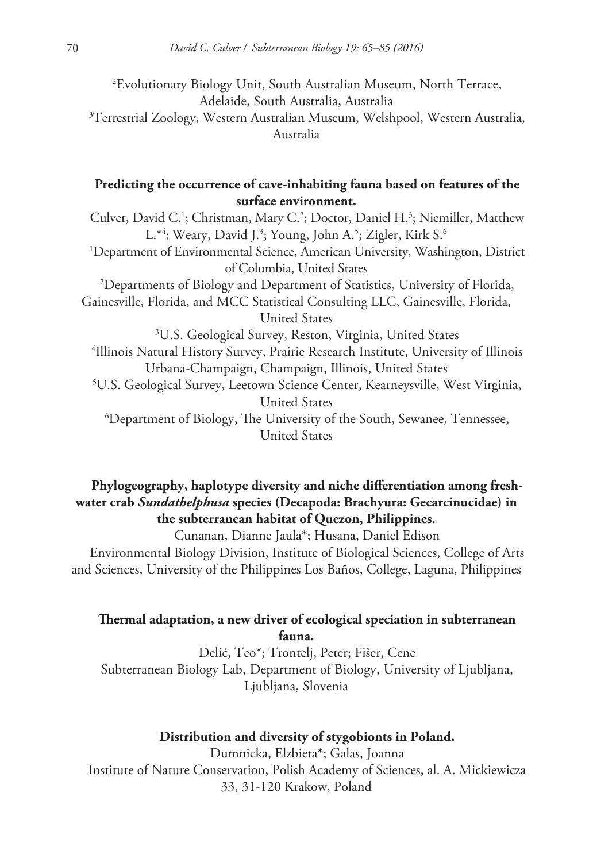2 Evolutionary Biology Unit, South Australian Museum, North Terrace, Adelaide, South Australia, Australia 3 Terrestrial Zoology, Western Australian Museum, Welshpool, Western Australia, Australia

### **Predicting the occurrence of cave-inhabiting fauna based on features of the surface environment.**

Culver, David C.<sup>1</sup>; Christman, Mary C.<sup>2</sup>; Doctor, Daniel H.<sup>3</sup>; Niemiller, Matthew L.\*4; Weary, David J.<sup>3</sup>; Young, John A.<sup>5</sup>; Zigler, Kirk S.<sup>6</sup> 1 Department of Environmental Science, American University, Washington, District of Columbia, United States 2 Departments of Biology and Department of Statistics, University of Florida, Gainesville, Florida, and MCC Statistical Consulting LLC, Gainesville, Florida, United States 3 U.S. Geological Survey, Reston, Virginia, United States 4 Illinois Natural History Survey, Prairie Research Institute, University of Illinois Urbana-Champaign, Champaign, Illinois, United States 5 U.S. Geological Survey, Leetown Science Center, Kearneysville, West Virginia, United States 6 Department of Biology, The University of the South, Sewanee, Tennessee, United States

# **Phylogeography, haplotype diversity and niche differentiation among freshwater crab** *Sundathelphusa* **species (Decapoda: Brachyura: Gecarcinucidae) in the subterranean habitat of Quezon, Philippines.**

Cunanan, Dianne Jaula\*; Husana, Daniel Edison

Environmental Biology Division, Institute of Biological Sciences, College of Arts and Sciences, University of the Philippines Los Baños, College, Laguna, Philippines

# **Thermal adaptation, a new driver of ecological speciation in subterranean fauna.**

Delić, Teo\*; Trontelj, Peter; Fišer, Cene Subterranean Biology Lab, Department of Biology, University of Ljubljana, Ljubljana, Slovenia

### **Distribution and diversity of stygobionts in Poland.**

Dumnicka, Elzbieta\*; Galas, Joanna Institute of Nature Conservation, Polish Academy of Sciences, al. A. Mickiewicza 33, 31-120 Krakow, Poland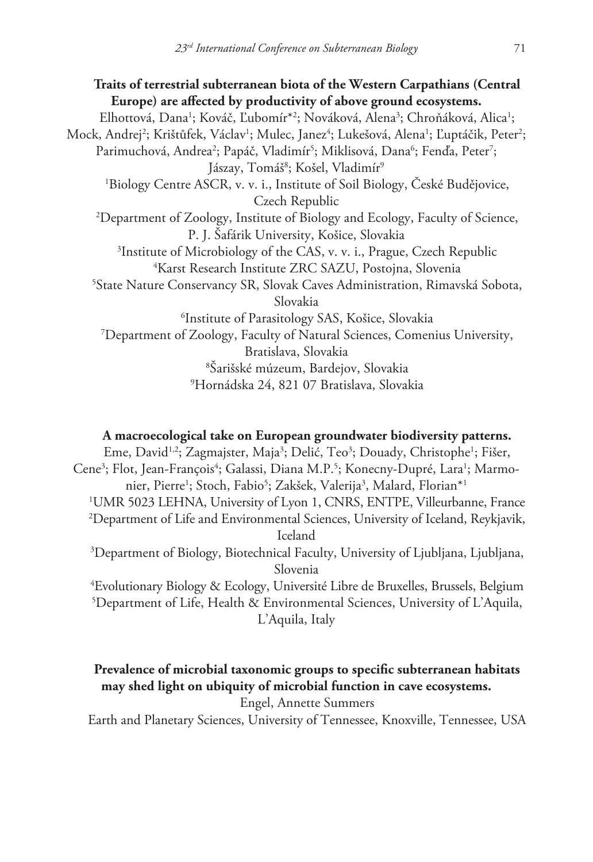**Traits of terrestrial subterranean biota of the Western Carpathians (Central Europe) are affected by productivity of above ground ecosystems.** Elhottová, Dana<sup>1</sup>; Kováč, Ľubomír<sup>\*2</sup>; Nováková, Alena<sup>3</sup>; Chroňáková, Alica<sup>1</sup>; Mock, Andrej<sup>2</sup>; Krištůfek, Václav<sup>1</sup>; Mulec, Janez<sup>4</sup>; Lukešová, Alena<sup>1</sup>; Ľuptáčik, Peter<sup>2</sup>; Parimuchová, Andrea<sup>2</sup>; Papáč, Vladimír<sup>5</sup>; Miklisová, Dana<sup>6</sup>; Fenďa, Peter<sup>7</sup>; Jászay, Tomáš<sup>8</sup>; Košel, Vladimír<sup>9</sup> 1 Biology Centre ASCR, v. v. i., Institute of Soil Biology, České Budějovice, Czech Republic 2 Department of Zoology, Institute of Biology and Ecology, Faculty of Science, P. J. Šafárik University, Košice, Slovakia 3 Institute of Microbiology of the CAS, v. v. i., Prague, Czech Republic 4 Karst Research Institute ZRC SAZU, Postojna, Slovenia 5 State Nature Conservancy SR, Slovak Caves Administration, Rimavská Sobota, Slovakia 6 Institute of Parasitology SAS, Košice, Slovakia 7 Department of Zoology, Faculty of Natural Sciences, Comenius University, Bratislava, Slovakia 8 Šarišské múzeum, Bardejov, Slovakia 9 Hornádska 24, 821 07 Bratislava, Slovakia

#### **A macroecological take on European groundwater biodiversity patterns.**

Eme, David<sup>1,2</sup>; Zagmajster, Maja<sup>3</sup>; Delić, Teo<sup>3</sup>; Douady, Christophe<sup>1</sup>; Fišer, Cene<sup>3</sup>; Flot, Jean-François<sup>4</sup>; Galassi, Diana M.P.<sup>5</sup>; Konecny-Dupré, Lara<sup>1</sup>; Marmonier, Pierre<sup>1</sup>; Stoch, Fabio<sup>5</sup>; Zakšek, Valerija<sup>3</sup>, Malard, Florian\*<sup>1</sup> 1 UMR 5023 LEHNA, University of Lyon 1, CNRS, ENTPE, Villeurbanne, France 2 Department of Life and Environmental Sciences, University of Iceland, Reykjavik, Iceland 3 Department of Biology, Biotechnical Faculty, University of Ljubljana, Ljubljana, Slovenia

4 Evolutionary Biology & Ecology, Université Libre de Bruxelles, Brussels, Belgium 5 Department of Life, Health & Environmental Sciences, University of L'Aquila, L'Aquila, Italy

# **Prevalence of microbial taxonomic groups to specific subterranean habitats may shed light on ubiquity of microbial function in cave ecosystems.**

Engel, Annette Summers

Earth and Planetary Sciences, University of Tennessee, Knoxville, Tennessee, USA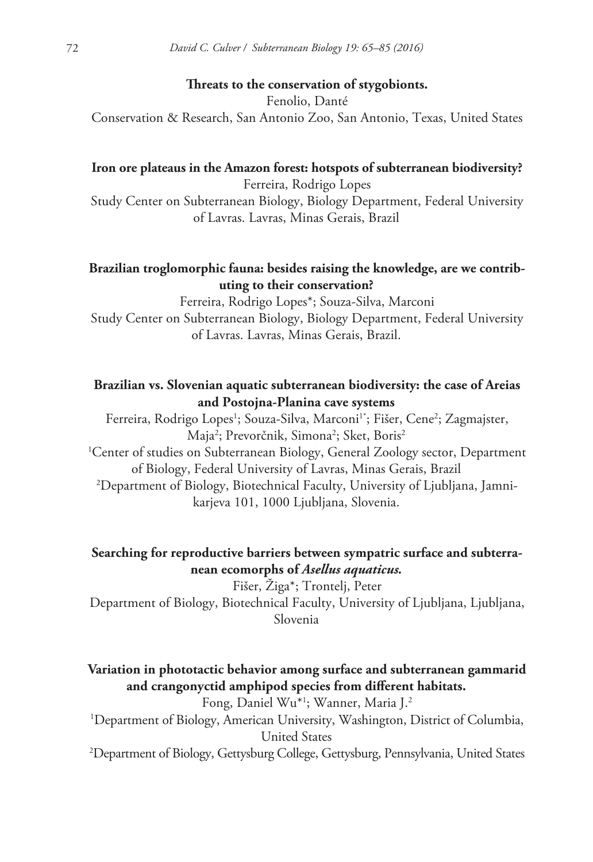#### **Threats to the conservation of stygobionts.**

Fenolio, Danté Conservation & Research, San Antonio Zoo, San Antonio, Texas, United States

#### **Iron ore plateaus in the Amazon forest: hotspots of subterranean biodiversity?**

Ferreira, Rodrigo Lopes

Study Center on Subterranean Biology, Biology Department, Federal University of Lavras. Lavras, Minas Gerais, Brazil

# **Brazilian troglomorphic fauna: besides raising the knowledge, are we contributing to their conservation?**

Ferreira, Rodrigo Lopes\*; Souza-Silva, Marconi Study Center on Subterranean Biology, Biology Department, Federal University of Lavras. Lavras, Minas Gerais, Brazil.

### **Brazilian vs. Slovenian aquatic subterranean biodiversity: the case of Areias and Postojna-Planina cave systems**

Ferreira, Rodrigo Lopes<sup>1</sup>; Souza-Silva, Marconi<sup>1\*</sup>; Fišer, Cene<sup>2</sup>; Zagmajster, Maja<sup>2</sup>; Prevorčnik, Simona<sup>2</sup>; Sket, Boris<sup>2</sup> 1 Center of studies on Subterranean Biology, General Zoology sector, Department of Biology, Federal University of Lavras, Minas Gerais, Brazil 2 Department of Biology, Biotechnical Faculty, University of Ljubljana, Jamnikarjeva 101, 1000 Ljubljana, Slovenia.

# **Searching for reproductive barriers between sympatric surface and subterranean ecomorphs of** *Asellus aquaticus.*

Fišer, Žiga\*; Trontelj, Peter Department of Biology, Biotechnical Faculty, University of Ljubljana, Ljubljana, Slovenia

# **Variation in phototactic behavior among surface and subterranean gammarid and crangonyctid amphipod species from different habitats.**

Fong, Daniel Wu\*1 ; Wanner, Maria J.2 1 Department of Biology, American University, Washington, District of Columbia, United States 2 Department of Biology, Gettysburg College, Gettysburg, Pennsylvania, United States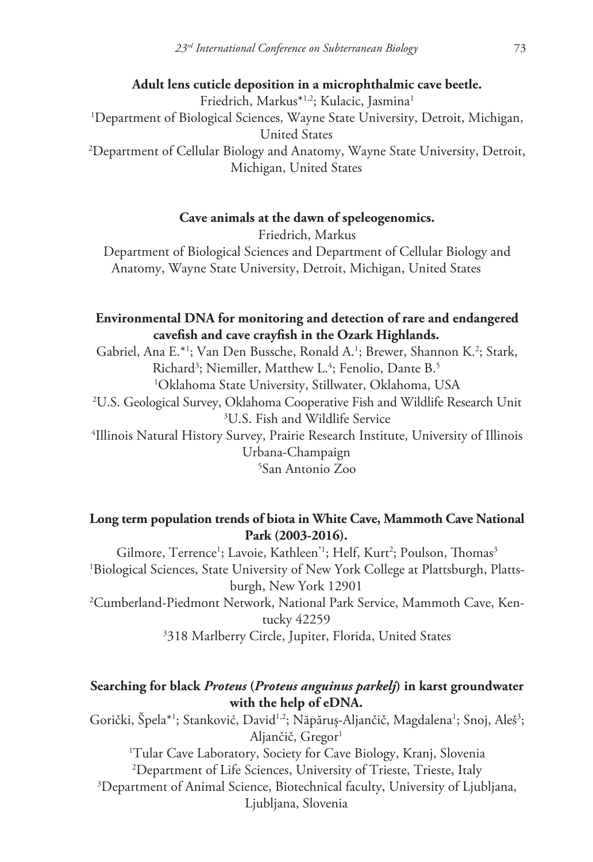**Adult lens cuticle deposition in a microphthalmic cave beetle.** Friedrich, Markus<sup>\*1,2</sup>; Kulacic, Jasmina<sup>1</sup> 1 Department of Biological Sciences, Wayne State University, Detroit, Michigan, United States 2 Department of Cellular Biology and Anatomy, Wayne State University, Detroit, Michigan, United States

#### **Cave animals at the dawn of speleogenomics.**

Friedrich, Markus Department of Biological Sciences and Department of Cellular Biology and Anatomy, Wayne State University, Detroit, Michigan, United States

# **Environmental DNA for monitoring and detection of rare and endangered cavefish and cave crayfish in the Ozark Highlands.**

Gabriel, Ana E.\*<sup>1</sup>; Van Den Bussche, Ronald A.<sup>1</sup>; Brewer, Shannon K.<sup>2</sup>; Stark, Richard<sup>3</sup>; Niemiller, Matthew L.<sup>4</sup>; Fenolio, Dante B.<sup>5</sup> Oklahoma State University, Stillwater, Oklahoma, USA U.S. Geological Survey, Oklahoma Cooperative Fish and Wildlife Research Unit U.S. Fish and Wildlife Service Illinois Natural History Survey, Prairie Research Institute, University of Illinois Urbana-Champaign San Antonio Zoo

# **Long term population trends of biota in White Cave, Mammoth Cave National Park (2003-2016).**

Gilmore, Terrence<sup>1</sup>; Lavoie, Kathleen<sup>\*1</sup>; Helf, Kurt<sup>2</sup>; Poulson, Thomas<sup>3</sup> 1 Biological Sciences, State University of New York College at Plattsburgh, Plattsburgh, New York 12901 2 Cumberland-Piedmont Network, National Park Service, Mammoth Cave, Kentucky 42259

# 3 318 Marlberry Circle, Jupiter, Florida, United States

# **Searching for black** *Proteus* **(***Proteus anguinus parkelj***) in karst groundwater with the help of eDNA.**

Gorički, Špela\*<sup>1</sup>; Stanković, David<sup>1,2</sup>; Năpăruș-Aljančič, Magdalena<sup>1</sup>; Snoj, Aleš<sup>3</sup>; Aljančič, Gregor<sup>1</sup> 1 Tular Cave Laboratory, Society for Cave Biology, Kranj, Slovenia 2 Department of Life Sciences, University of Trieste, Trieste, Italy 3 Department of Animal Science, Biotechnical faculty, University of Ljubljana, Ljubljana, Slovenia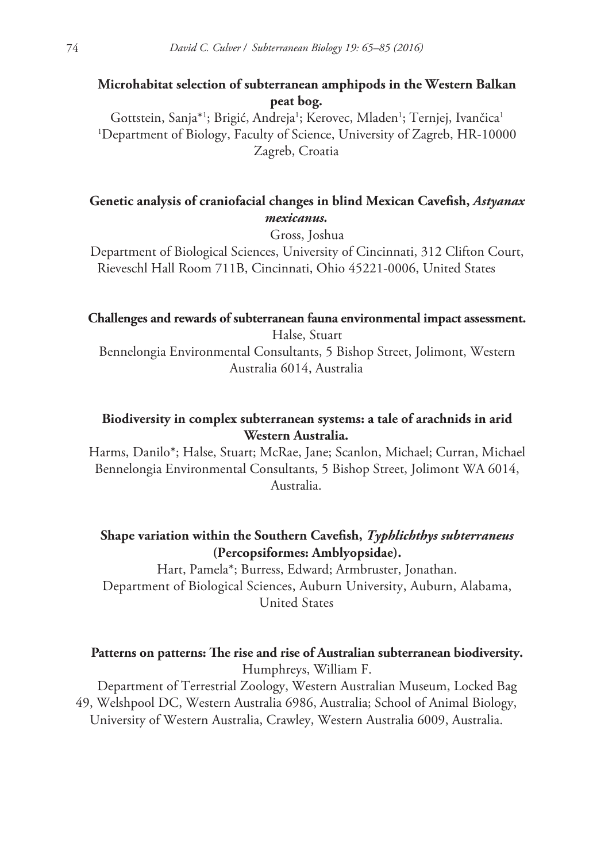# **Microhabitat selection of subterranean amphipods in the Western Balkan peat bog.**

Gottstein, Sanja\*<sup>1</sup>; Brigić, Andreja<sup>1</sup>; Kerovec, Mladen<sup>1</sup>; Ternjej, Ivančica<sup>1</sup> 1 Department of Biology, Faculty of Science, University of Zagreb, HR-10000 Zagreb, Croatia

# **Genetic analysis of craniofacial changes in blind Mexican Cavefish,** *Astyanax mexicanus.*

Gross, Joshua

Department of Biological Sciences, University of Cincinnati, 312 Clifton Court, Rieveschl Hall Room 711B, Cincinnati, Ohio 45221-0006, United States

### **Challenges and rewards of subterranean fauna environmental impact assessment.**

Halse, Stuart Bennelongia Environmental Consultants, 5 Bishop Street, Jolimont, Western Australia 6014, Australia

### **Biodiversity in complex subterranean systems: a tale of arachnids in arid Western Australia.**

Harms, Danilo\*; Halse, Stuart; McRae, Jane; Scanlon, Michael; Curran, Michael Bennelongia Environmental Consultants, 5 Bishop Street, Jolimont WA 6014, Australia.

# **Shape variation within the Southern Cavefish,** *Typhlichthys subterraneus* **(Percopsiformes: Amblyopsidae).**

Hart, Pamela\*; Burress, Edward; Armbruster, Jonathan. Department of Biological Sciences, Auburn University, Auburn, Alabama, United States

# **Patterns on patterns: The rise and rise of Australian subterranean biodiversity.** Humphreys, William F.

Department of Terrestrial Zoology, Western Australian Museum, Locked Bag 49, Welshpool DC, Western Australia 6986, Australia; School of Animal Biology, University of Western Australia, Crawley, Western Australia 6009, Australia.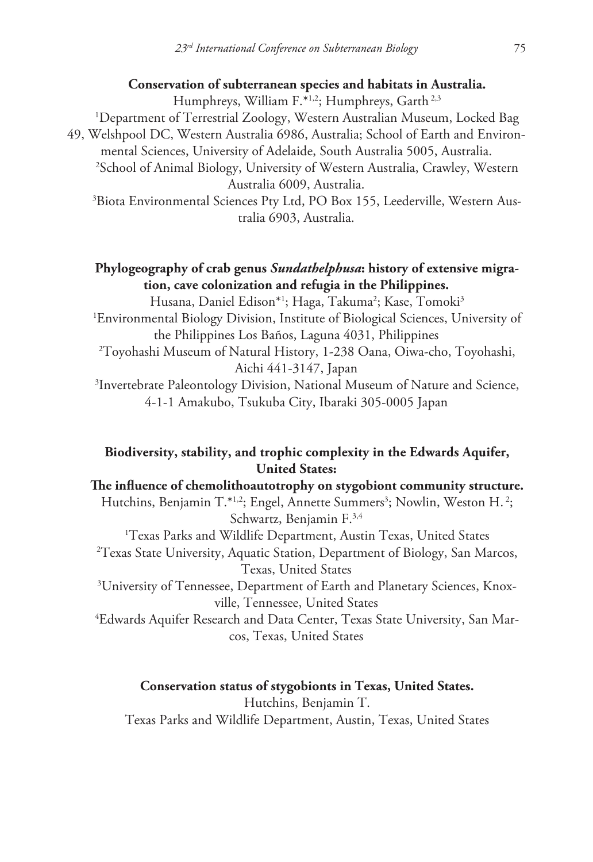#### **Conservation of subterranean species and habitats in Australia.**

Humphreys, William F.\*1,2; Humphreys, Garth<sup>2,3</sup>

1 Department of Terrestrial Zoology, Western Australian Museum, Locked Bag 49, Welshpool DC, Western Australia 6986, Australia; School of Earth and Environmental Sciences, University of Adelaide, South Australia 5005, Australia. 2 School of Animal Biology, University of Western Australia, Crawley, Western Australia 6009, Australia.

3 Biota Environmental Sciences Pty Ltd, PO Box 155, Leederville, Western Australia 6903, Australia.

# **Phylogeography of crab genus** *Sundathelphusa***: history of extensive migration, cave colonization and refugia in the Philippines.**

Husana, Daniel Edison\*1; Haga, Takuma<sup>2</sup>; Kase, Tomoki<sup>3</sup>

1 Environmental Biology Division, Institute of Biological Sciences, University of the Philippines Los Baños, Laguna 4031, Philippines

2 Toyohashi Museum of Natural History, 1-238 Oana, Oiwa-cho, Toyohashi, Aichi 441-3147, Japan

3 Invertebrate Paleontology Division, National Museum of Nature and Science, 4-1-1 Amakubo, Tsukuba City, Ibaraki 305-0005 Japan

# **Biodiversity, stability, and trophic complexity in the Edwards Aquifer, United States:**

**The influence of chemolithoautotrophy on stygobiont community structure.** Hutchins, Benjamin T.\*<sup>1,2</sup>; Engel, Annette Summers<sup>3</sup>; Nowlin, Weston H.<sup>2</sup>; Schwartz, Benjamin F.3,4 1 Texas Parks and Wildlife Department, Austin Texas, United States 2 Texas State University, Aquatic Station, Department of Biology, San Marcos, Texas, United States  $^3$ University of Tennessee, Department of Earth and Planetary Sciences, Knoxville, Tennessee, United States 4 Edwards Aquifer Research and Data Center, Texas State University, San Marcos, Texas, United States

#### **Conservation status of stygobionts in Texas, United States.**

Hutchins, Benjamin T. Texas Parks and Wildlife Department, Austin, Texas, United States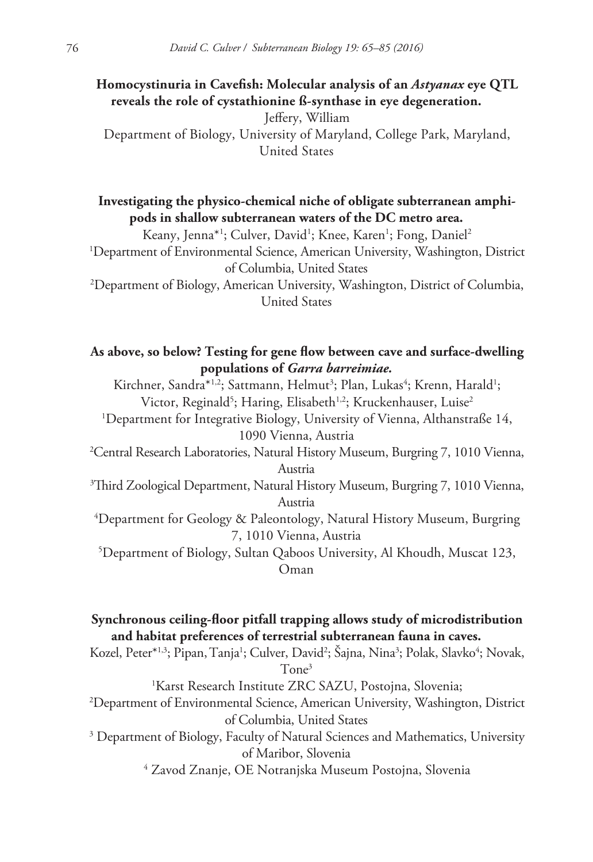**Homocystinuria in Cavefish: Molecular analysis of an** *Astyanax* **eye QTL reveals the role of cystathionine ß-synthase in eye degeneration.**

Jeffery, William Department of Biology, University of Maryland, College Park, Maryland, United States

**Investigating the physico-chemical niche of obligate subterranean amphipods in shallow subterranean waters of the DC metro area.**

Keany, Jenna\*1; Culver, David1; Knee, Karen1; Fong, Daniel2 1 Department of Environmental Science, American University, Washington, District of Columbia, United States

2 Department of Biology, American University, Washington, District of Columbia, United States

# **As above, so below? Testing for gene flow between cave and surface-dwelling populations of** *Garra barreimiae.*

Kirchner, Sandra\*<sup>1,2</sup>; Sattmann, Helmut<sup>3</sup>; Plan, Lukas<sup>4</sup>; Krenn, Harald<sup>1</sup>; Victor, Reginald<sup>5</sup>; Haring, Elisabeth<sup>1,2</sup>; Kruckenhauser, Luise<sup>2</sup> 1 Department for Integrative Biology, University of Vienna, Althanstraße 14, 1090 Vienna, Austria 2 Central Research Laboratories, Natural History Museum, Burgring 7, 1010 Vienna, Austria 3 Third Zoological Department, Natural History Museum, Burgring 7, 1010 Vienna, Austria 4 Department for Geology & Paleontology, Natural History Museum, Burgring 7, 1010 Vienna, Austria

5 Department of Biology, Sultan Qaboos University, Al Khoudh, Muscat 123, Oman

# **Synchronous ceiling-floor pitfall trapping allows study of microdistribution and habitat preferences of terrestrial subterranean fauna in caves.**

Kozel, Peter\*1,3; Pipan, Tanja<sup>1</sup>; Culver, David<sup>2</sup>; Šajna, Nina<sup>3</sup>; Polak, Slavko<sup>4</sup>; Novak, Tone3

1 Karst Research Institute ZRC SAZU, Postojna, Slovenia;

2 Department of Environmental Science, American University, Washington, District of Columbia, United States

<sup>3</sup> Department of Biology, Faculty of Natural Sciences and Mathematics, University of Maribor, Slovenia

4 Zavod Znanje, OE Notranjska Museum Postojna, Slovenia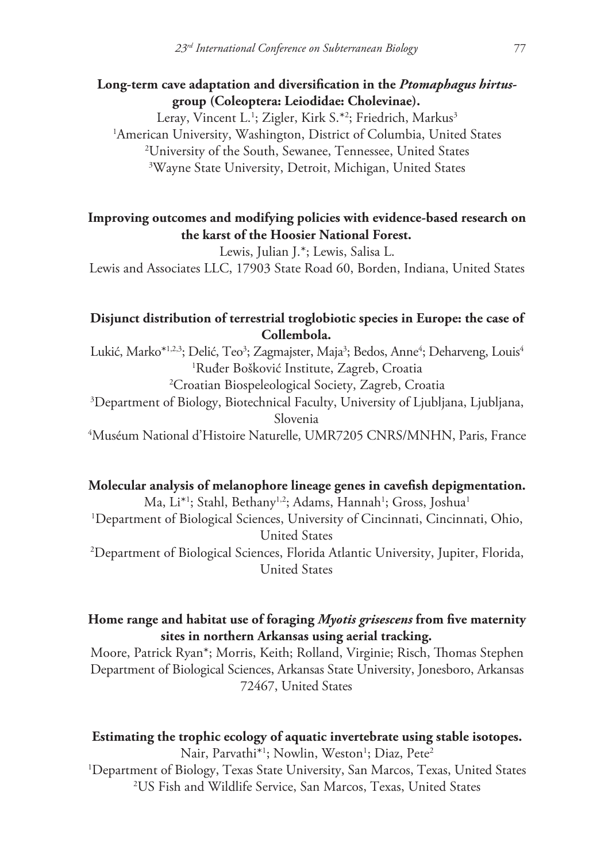### **Long-term cave adaptation and diversification in the** *Ptomaphagus hirtus***group (Coleoptera: Leiodidae: Cholevinae).**

Leray, Vincent L.<sup>1</sup>; Zigler, Kirk S.\*<sup>2</sup>; Friedrich, Markus<sup>3</sup> American University, Washington, District of Columbia, United States University of the South, Sewanee, Tennessee, United States Wayne State University, Detroit, Michigan, United States

# **Improving outcomes and modifying policies with evidence-based research on the karst of the Hoosier National Forest.**

Lewis, Julian J.\*; Lewis, Salisa L.

Lewis and Associates LLC, 17903 State Road 60, Borden, Indiana, United States

# **Disjunct distribution of terrestrial troglobiotic species in Europe: the case of Collembola.**

Lukić, Marko\*½3; Delić, Teo3; Zagmajster, Maja3; Bedos, Anne<sup>4</sup>; Deharveng, Louis<sup>4</sup> 1 Ruđer Bošković Institute, Zagreb, Croatia 2 Croatian Biospeleological Society, Zagreb, Croatia 3 Department of Biology, Biotechnical Faculty, University of Ljubljana, Ljubljana, Slovenia

4 Muséum National d'Histoire Naturelle, UMR7205 CNRS/MNHN, Paris, France

#### **Molecular analysis of melanophore lineage genes in cavefish depigmentation.**

Ma, Li\*<sup>1</sup>; Stahl, Bethany<sup>1,2</sup>; Adams, Hannah<sup>1</sup>; Gross, Joshua<sup>1</sup> 1 Department of Biological Sciences, University of Cincinnati, Cincinnati, Ohio, United States 2 Department of Biological Sciences, Florida Atlantic University, Jupiter, Florida, United States

# **Home range and habitat use of foraging** *Myotis grisescens* **from five maternity sites in northern Arkansas using aerial tracking.**

Moore, Patrick Ryan\*; Morris, Keith; Rolland, Virginie; Risch, Thomas Stephen Department of Biological Sciences, Arkansas State University, Jonesboro, Arkansas 72467, United States

# **Estimating the trophic ecology of aquatic invertebrate using stable isotopes.** Nair, Parvathi<sup>\*1</sup>; Nowlin, Weston<sup>1</sup>; Diaz, Pete<sup>2</sup>

1 Department of Biology, Texas State University, San Marcos, Texas, United States 2 US Fish and Wildlife Service, San Marcos, Texas, United States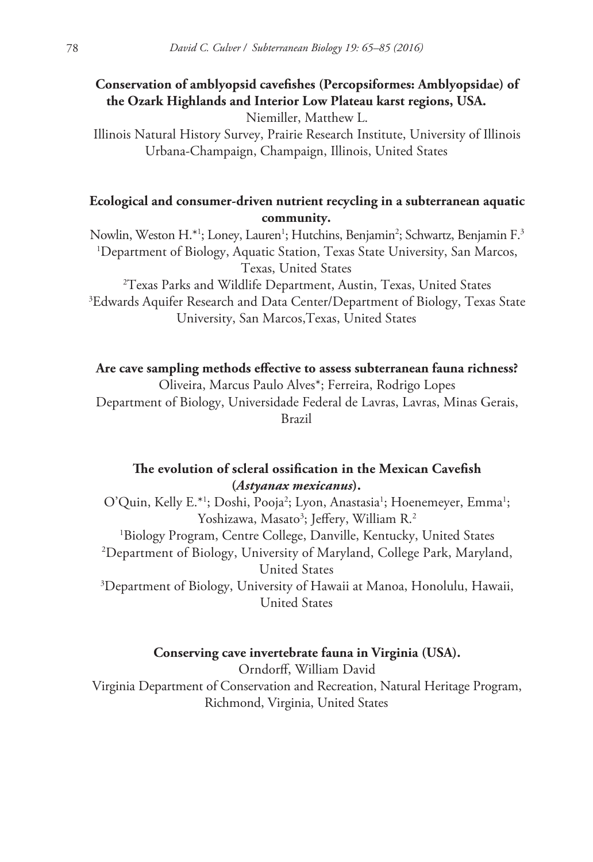# **Conservation of amblyopsid cavefishes (Percopsiformes: Amblyopsidae) of the Ozark Highlands and Interior Low Plateau karst regions, USA.**

Niemiller, Matthew L.

Illinois Natural History Survey, Prairie Research Institute, University of Illinois Urbana-Champaign, Champaign, Illinois, United States

# **Ecological and consumer-driven nutrient recycling in a subterranean aquatic community.**

Nowlin, Weston H.\*1; Loney, Lauren<sup>1</sup>; Hutchins, Benjamin<sup>2</sup>; Schwartz, Benjamin F.<sup>3</sup> 1 Department of Biology, Aquatic Station, Texas State University, San Marcos, Texas, United States

2 Texas Parks and Wildlife Department, Austin, Texas, United States 3 Edwards Aquifer Research and Data Center/Department of Biology, Texas State University, San Marcos,Texas, United States

**Are cave sampling methods effective to assess subterranean fauna richness?**

Oliveira, Marcus Paulo Alves\*; Ferreira, Rodrigo Lopes Department of Biology, Universidade Federal de Lavras, Lavras, Minas Gerais, Brazil

# **The evolution of scleral ossification in the Mexican Cavefish (***Astyanax mexicanus***).**

O'Quin, Kelly E.\*<sup>1</sup>; Doshi, Pooja<sup>2</sup>; Lyon, Anastasia<sup>1</sup>; Hoenemeyer, Emma<sup>1</sup>; Yoshizawa, Masato<sup>3</sup>; Jeffery, William R.<sup>2</sup> 1 Biology Program, Centre College, Danville, Kentucky, United States 2 Department of Biology, University of Maryland, College Park, Maryland, United States 3 Department of Biology, University of Hawaii at Manoa, Honolulu, Hawaii, United States

### **Conserving cave invertebrate fauna in Virginia (USA).**

Orndorff, William David Virginia Department of Conservation and Recreation, Natural Heritage Program, Richmond, Virginia, United States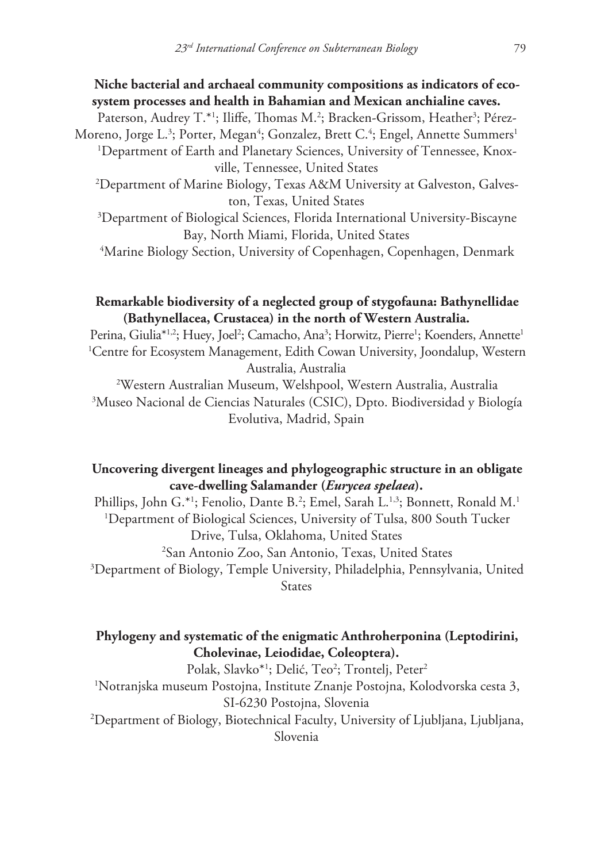### **Niche bacterial and archaeal community compositions as indicators of ecosystem processes and health in Bahamian and Mexican anchialine caves.**

Paterson, Audrey T.\*1; Iliffe, Thomas M.<sup>2</sup>; Bracken-Grissom, Heather<sup>3</sup>; Pérez-Moreno, Jorge L.<sup>3</sup>; Porter, Megan<sup>4</sup>; Gonzalez, Brett C.<sup>4</sup>; Engel, Annette Summers<sup>1</sup>

1 Department of Earth and Planetary Sciences, University of Tennessee, Knoxville, Tennessee, United States

2 Department of Marine Biology, Texas A&M University at Galveston, Galveston, Texas, United States

3 Department of Biological Sciences, Florida International University-Biscayne Bay, North Miami, Florida, United States

4 Marine Biology Section, University of Copenhagen, Copenhagen, Denmark

# **Remarkable biodiversity of a neglected group of stygofauna: Bathynellidae (Bathynellacea, Crustacea) in the north of Western Australia.**

Perina, Giulia\*1.2; Huey, Joel<sup>2</sup>; Camacho, Ana<sup>3</sup>; Horwitz, Pierre<sup>1</sup>; Koenders, Annette<sup>1</sup> 1 Centre for Ecosystem Management, Edith Cowan University, Joondalup, Western Australia, Australia

2 Western Australian Museum, Welshpool, Western Australia, Australia 3 Museo Nacional de Ciencias Naturales (CSIC), Dpto. Biodiversidad y Biología Evolutiva, Madrid, Spain

# **Uncovering divergent lineages and phylogeographic structure in an obligate cave-dwelling Salamander (***Eurycea spelaea***).**

Phillips, John G.\*'; Fenolio, Dante B.<sup>2</sup>; Emel, Sarah L.<sup>1,3</sup>; Bonnett, Ronald M.<sup>1</sup> 1 Department of Biological Sciences, University of Tulsa, 800 South Tucker Drive, Tulsa, Oklahoma, United States 2 San Antonio Zoo, San Antonio, Texas, United States

3 Department of Biology, Temple University, Philadelphia, Pennsylvania, United **States** 

# **Phylogeny and systematic of the enigmatic Anthroherponina (Leptodirini, Cholevinae, Leiodidae, Coleoptera).**

Polak, Slavko\*<sup>1</sup>; Delić, Teo<sup>2</sup>; Trontelj, Peter<sup>2</sup> 1 Notranjska museum Postojna, Institute Znanje Postojna, Kolodvorska cesta 3, SI-6230 Postojna, Slovenia 2 Department of Biology, Biotechnical Faculty, University of Ljubljana, Ljubljana,

Slovenia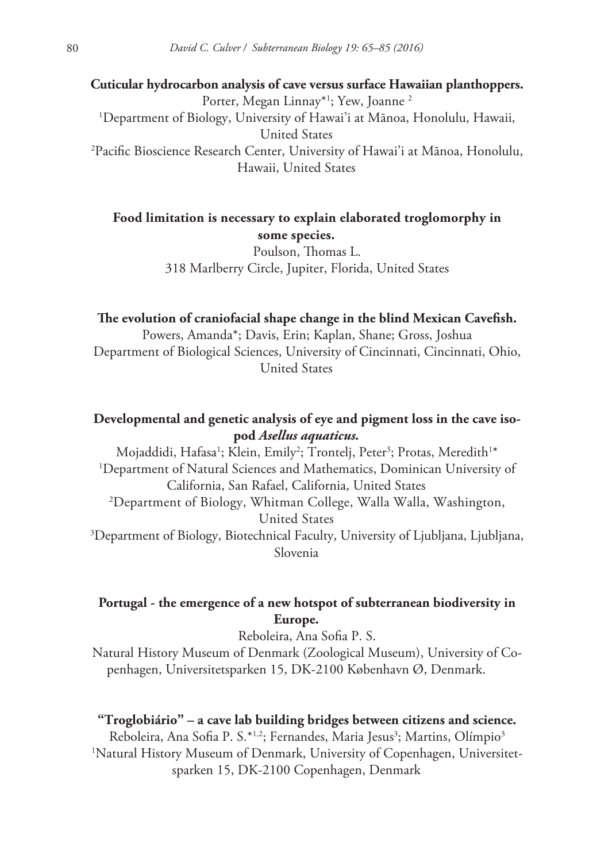**Cuticular hydrocarbon analysis of cave versus surface Hawaiian planthoppers.** Porter, Megan Linnay\*1 ; Yew, Joanne 2 1 Department of Biology, University of Hawai'i at Mānoa, Honolulu, Hawaii, United States 2 Pacific Bioscience Research Center, University of Hawai'i at Mānoa, Honolulu, Hawaii, United States

**Food limitation is necessary to explain elaborated troglomorphy in some species.**

> Poulson, Thomas L. 318 Marlberry Circle, Jupiter, Florida, United States

### **The evolution of craniofacial shape change in the blind Mexican Cavefish.**

Powers, Amanda\*; Davis, Erin; Kaplan, Shane; Gross, Joshua Department of Biological Sciences, University of Cincinnati, Cincinnati, Ohio, United States

# **Developmental and genetic analysis of eye and pigment loss in the cave isopod** *Asellus aquaticus.*

Mojaddidi, Hafasa<sup>1</sup>; Klein, Emily<sup>2</sup>; Trontelj, Peter<sup>3</sup>; Protas, Meredith<sup>1\*</sup> 1 Department of Natural Sciences and Mathematics, Dominican University of California, San Rafael, California, United States 2 Department of Biology, Whitman College, Walla Walla, Washington, United States

3 Department of Biology, Biotechnical Faculty, University of Ljubljana, Ljubljana, Slovenia

# **Portugal - the emergence of a new hotspot of subterranean biodiversity in Europe.**

Reboleira, Ana Sofia P. S.

Natural History Museum of Denmark (Zoological Museum), University of Copenhagen, Universitetsparken 15, DK-2100 København Ø, Denmark.

### **"Troglobiário" – a cave lab building bridges between citizens and science.**

Reboleira, Ana Sofia P. S.\*1<sup>,2</sup>; Fernandes, Maria Jesus<sup>3</sup>; Martins, Olímpio<sup>3</sup> 1 Natural History Museum of Denmark, University of Copenhagen, Universitetsparken 15, DK-2100 Copenhagen, Denmark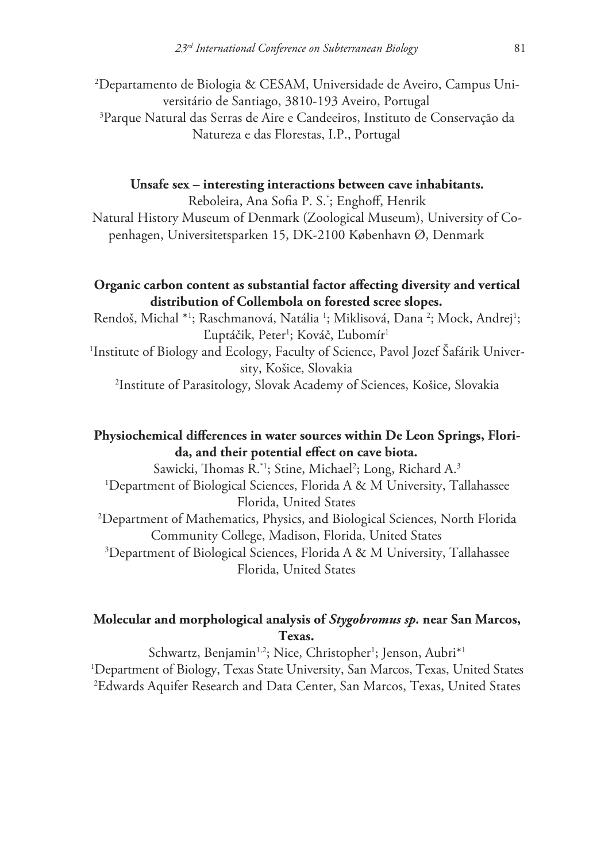2 Departamento de Biologia & CESAM, Universidade de Aveiro, Campus Universitário de Santiago, 3810-193 Aveiro, Portugal 3 Parque Natural das Serras de Aire e Candeeiros, Instituto de Conservação da Natureza e das Florestas, I.P., Portugal

#### **Unsafe sex – interesting interactions between cave inhabitants.**

Reboleira, Ana Sofia P. S.\* ; Enghoff, Henrik Natural History Museum of Denmark (Zoological Museum), University of Copenhagen, Universitetsparken 15, DK-2100 København Ø, Denmark

### **Organic carbon content as substantial factor affecting diversity and vertical distribution of Collembola on forested scree slopes.**

Rendoš, Michal \*1; Raschmanová, Natália <sup>1</sup>; Miklisová, Dana <sup>2</sup>; Mock, Andrej<sup>1</sup>; Ľuptáčik, Peter<sup>1</sup>; Kováč, Ľubomír<sup>1</sup> 1 Institute of Biology and Ecology, Faculty of Science, Pavol Jozef Šafárik University, Košice, Slovakia 2 Institute of Parasitology, Slovak Academy of Sciences, Košice, Slovakia

# **Physiochemical differences in water sources within De Leon Springs, Florida, and their potential effect on cave biota.**

Sawicki, Thomas R.\*1; Stine, Michael<sup>2</sup>; Long, Richard A.<sup>3</sup> 1 Department of Biological Sciences, Florida A & M University, Tallahassee Florida, United States 2 Department of Mathematics, Physics, and Biological Sciences, North Florida Community College, Madison, Florida, United States 3 Department of Biological Sciences, Florida A & M University, Tallahassee Florida, United States

# **Molecular and morphological analysis of** *Stygobromus sp.* **near San Marcos, Texas.**

Schwartz, Benjamin<sup>1,2</sup>; Nice, Christopher<sup>1</sup>; Jenson, Aubri<sup>\*1</sup> 1 Department of Biology, Texas State University, San Marcos, Texas, United States 2 Edwards Aquifer Research and Data Center, San Marcos, Texas, United States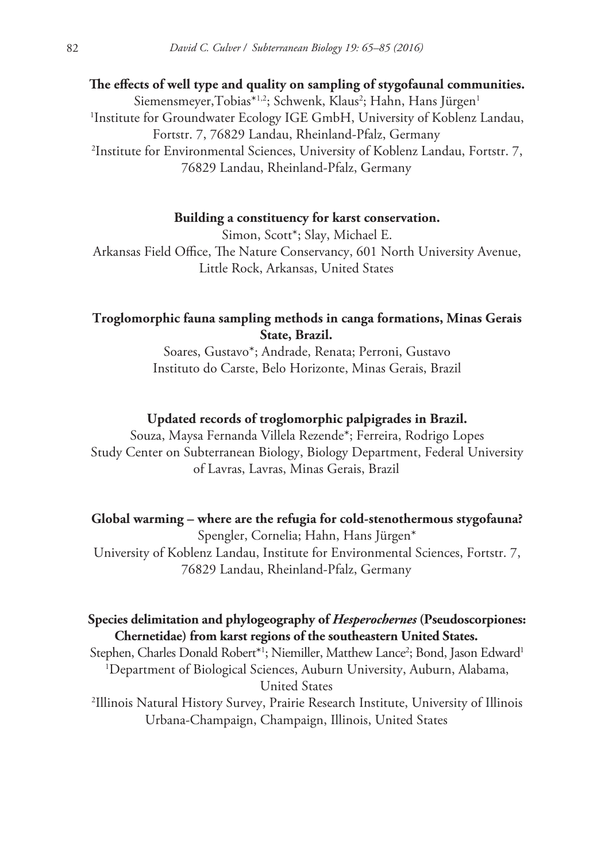**The effects of well type and quality on sampling of stygofaunal communities.** Siemensmeyer,Tobias\*<sup>1,2</sup>; Schwenk, Klaus<sup>2</sup>; Hahn, Hans Jürgen<sup>1</sup> 1 Institute for Groundwater Ecology IGE GmbH, University of Koblenz Landau, Fortstr. 7, 76829 Landau, Rheinland-Pfalz, Germany 2 Institute for Environmental Sciences, University of Koblenz Landau, Fortstr. 7, 76829 Landau, Rheinland-Pfalz, Germany

#### **Building a constituency for karst conservation.**

Simon, Scott\*; Slay, Michael E. Arkansas Field Office, The Nature Conservancy, 601 North University Avenue, Little Rock, Arkansas, United States

# **Troglomorphic fauna sampling methods in canga formations, Minas Gerais State, Brazil.**

Soares, Gustavo\*; Andrade, Renata; Perroni, Gustavo Instituto do Carste, Belo Horizonte, Minas Gerais, Brazil

#### **Updated records of troglomorphic palpigrades in Brazil.**

Souza, Maysa Fernanda Villela Rezende\*; Ferreira, Rodrigo Lopes Study Center on Subterranean Biology, Biology Department, Federal University of Lavras, Lavras, Minas Gerais, Brazil

#### **Global warming – where are the refugia for cold-stenothermous stygofauna?**

Spengler, Cornelia; Hahn, Hans Jürgen\* University of Koblenz Landau, Institute for Environmental Sciences, Fortstr. 7, 76829 Landau, Rheinland-Pfalz, Germany

# **Species delimitation and phylogeography of** *Hesperochernes* **(Pseudoscorpiones: Chernetidae) from karst regions of the southeastern United States.**

Stephen, Charles Donald Robert\*<sup>1</sup>; Niemiller, Matthew Lance<sup>2</sup>; Bond, Jason Edward<sup>1</sup> 1 Department of Biological Sciences, Auburn University, Auburn, Alabama, United States

2 Illinois Natural History Survey, Prairie Research Institute, University of Illinois Urbana-Champaign, Champaign, Illinois, United States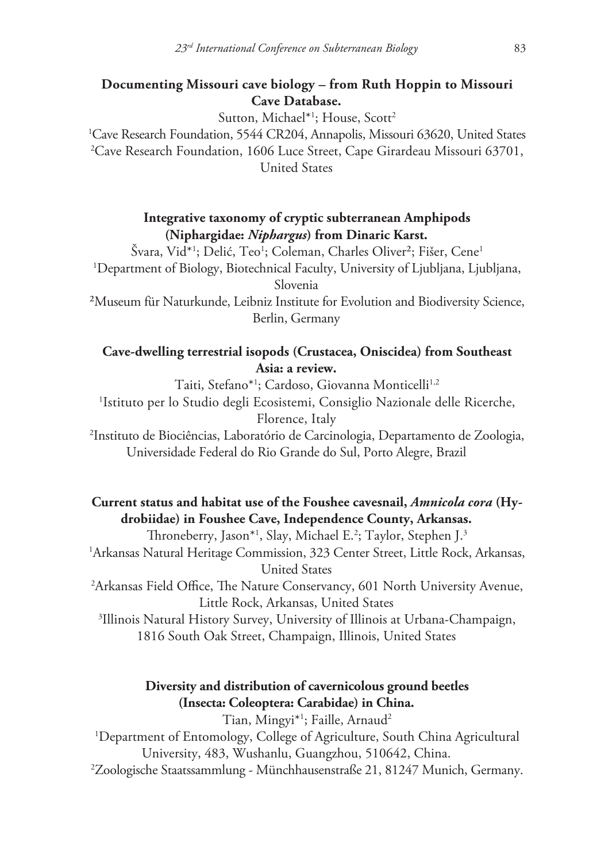# **Documenting Missouri cave biology – from Ruth Hoppin to Missouri Cave Database.**

Sutton, Michael<sup>\*1</sup>; House, Scott<sup>2</sup>

1 Cave Research Foundation, 5544 CR204, Annapolis, Missouri 63620, United States 2 Cave Research Foundation, 1606 Luce Street, Cape Girardeau Missouri 63701, United States

> **Integrative taxonomy of cryptic subterranean Amphipods (Niphargidae:** *Niphargus***) from Dinaric Karst.**

Švara, Vid\*<sup>1</sup>; Delić, Teo<sup>1</sup>; Coleman, Charles Oliver<sup>2</sup>; Fišer, Cene<sup>1</sup> 1 Department of Biology, Biotechnical Faculty, University of Ljubljana, Ljubljana, Slovenia

²Museum für Naturkunde, Leibniz Institute for Evolution and Biodiversity Science, Berlin, Germany

# **Cave-dwelling terrestrial isopods (Crustacea, Oniscidea) from Southeast Asia: a review.**

Taiti, Stefano\*1 ; Cardoso, Giovanna Monticelli1,2 1 Istituto per lo Studio degli Ecosistemi, Consiglio Nazionale delle Ricerche, Florence, Italy

2 Instituto de Biociências, Laboratório de Carcinologia, Departamento de Zoologia, Universidade Federal do Rio Grande do Sul, Porto Alegre, Brazil

# **Current status and habitat use of the Foushee cavesnail,** *Amnicola cora* **(Hydrobiidae) in Foushee Cave, Independence County, Arkansas.**

Throneberry, Jason\*1 , Slay, Michael E.2 ; Taylor, Stephen J.3 1 Arkansas Natural Heritage Commission, 323 Center Street, Little Rock, Arkansas, United States 2 Arkansas Field Office, The Nature Conservancy, 601 North University Avenue, Little Rock, Arkansas, United States 3 Illinois Natural History Survey, University of Illinois at Urbana-Champaign,

1816 South Oak Street, Champaign, Illinois, United States

# **Diversity and distribution of cavernicolous ground beetles (Insecta: Coleoptera: Carabidae) in China.**

Tian, Mingyi\*1 ; Faille, Arnaud2 1 Department of Entomology, College of Agriculture, South China Agricultural University, 483, Wushanlu, Guangzhou, 510642, China.

2 Zoologische Staatssammlung - Münchhausenstraße 21, 81247 Munich, Germany.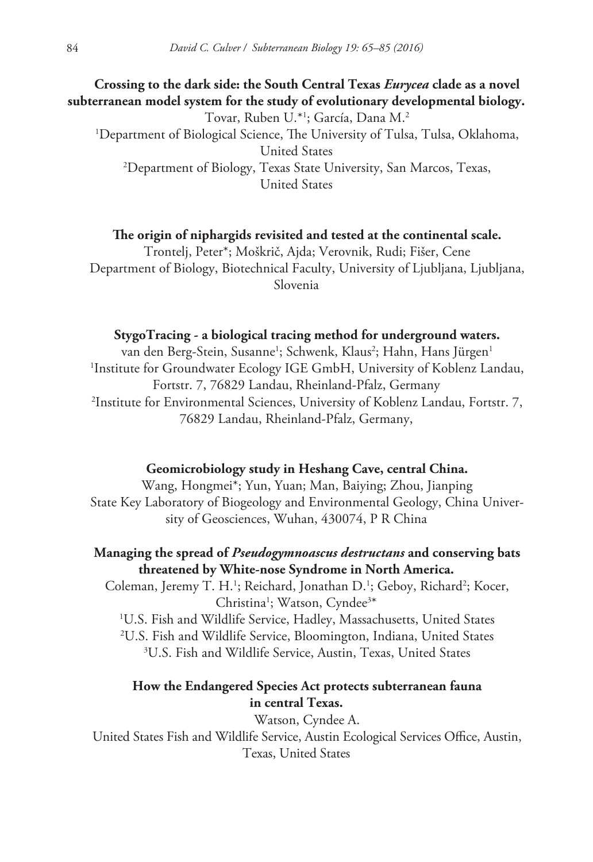# **Crossing to the dark side: the South Central Texas** *Eurycea* **clade as a novel subterranean model system for the study of evolutionary developmental biology.** Tovar, Ruben U.\*1 ; García, Dana M.2 1 Department of Biological Science, The University of Tulsa, Tulsa, Oklahoma, United States 2 Department of Biology, Texas State University, San Marcos, Texas, United States

**The origin of niphargids revisited and tested at the continental scale.** Trontelj, Peter\*; Moškrič, Ajda; Verovnik, Rudi; Fišer, Cene Department of Biology, Biotechnical Faculty, University of Ljubljana, Ljubljana, Slovenia

### **StygoTracing - a biological tracing method for underground waters.**

van den Berg-Stein, Susanne<sup>1</sup>; Schwenk, Klaus<sup>2</sup>; Hahn, Hans Jürgen<sup>1</sup> 1 Institute for Groundwater Ecology IGE GmbH, University of Koblenz Landau, Fortstr. 7, 76829 Landau, Rheinland-Pfalz, Germany 2 Institute for Environmental Sciences, University of Koblenz Landau, Fortstr. 7, 76829 Landau, Rheinland-Pfalz, Germany,

#### **Geomicrobiology study in Heshang Cave, central China.**

Wang, Hongmei\*; Yun, Yuan; Man, Baiying; Zhou, Jianping State Key Laboratory of Biogeology and Environmental Geology, China University of Geosciences, Wuhan, 430074, P R China

### **Managing the spread of** *Pseudogymnoascus destructans* **and conserving bats threatened by White-nose Syndrome in North America.**

Coleman, Jeremy T. H.<sup>1</sup>; Reichard, Jonathan D.<sup>1</sup>; Geboy, Richard<sup>2</sup>; Kocer, Christina<sup>1</sup>; Watson, Cyndee<sup>3\*</sup>

1 U.S. Fish and Wildlife Service, Hadley, Massachusetts, United States

2 U.S. Fish and Wildlife Service, Bloomington, Indiana, United States

3 U.S. Fish and Wildlife Service, Austin, Texas, United States

### **How the Endangered Species Act protects subterranean fauna in central Texas.**

Watson, Cyndee A. United States Fish and Wildlife Service, Austin Ecological Services Office, Austin, Texas, United States